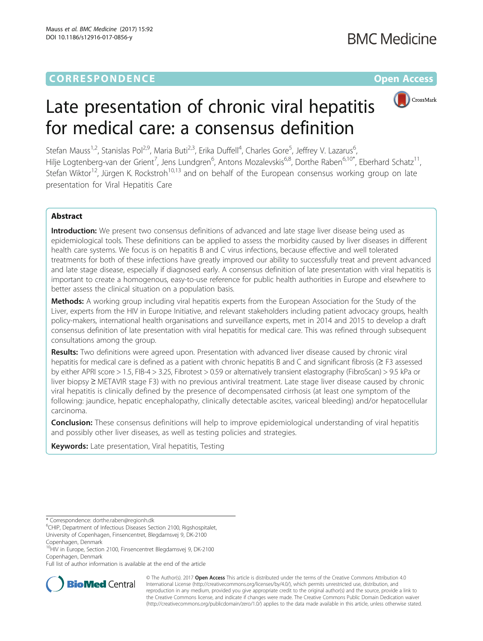## **CORRESPONDENCE CORRESPONDENCE** *CORRESPONDENCE*



# Late presentation of chronic viral hepatitis for medical care: a consensus definition

Stefan Mauss<sup>1,2</sup>, Stanislas Pol<sup>2,9</sup>, Maria Buti<sup>2,3</sup>, Erika Duffell<sup>4</sup>, Charles Gore<sup>5</sup>, Jeffrey V. Lazarus<sup>6</sup> , Hilje Logtenberg-van der Grient<sup>7</sup>, Jens Lundgren<sup>6</sup>, Antons Mozalevskis<sup>6,8</sup>, Dorthe Raben<sup>6,10\*</sup>, Eberhard Schatz<sup>11</sup>, Stefan Wiktor<sup>12</sup>, Jürgen K. Rockstroh<sup>10,13</sup> and on behalf of the European consensus working group on late presentation for Viral Hepatitis Care

#### Abstract

Introduction: We present two consensus definitions of advanced and late stage liver disease being used as epidemiological tools. These definitions can be applied to assess the morbidity caused by liver diseases in different health care systems. We focus is on hepatitis B and C virus infections, because effective and well tolerated treatments for both of these infections have greatly improved our ability to successfully treat and prevent advanced and late stage disease, especially if diagnosed early. A consensus definition of late presentation with viral hepatitis is important to create a homogenous, easy-to-use reference for public health authorities in Europe and elsewhere to better assess the clinical situation on a population basis.

Methods: A working group including viral hepatitis experts from the European Association for the Study of the Liver, experts from the HIV in Europe Initiative, and relevant stakeholders including patient advocacy groups, health policy-makers, international health organisations and surveillance experts, met in 2014 and 2015 to develop a draft consensus definition of late presentation with viral hepatitis for medical care. This was refined through subsequent consultations among the group.

Results: Two definitions were agreed upon. Presentation with advanced liver disease caused by chronic viral hepatitis for medical care is defined as a patient with chronic hepatitis B and C and significant fibrosis (≥ F3 assessed by either APRI score > 1.5, FIB-4 > 3.25, Fibrotest > 0.59 or alternatively transient elastography (FibroScan) > 9.5 kPa or liver biopsy ≥ METAVIR stage F3) with no previous antiviral treatment. Late stage liver disease caused by chronic viral hepatitis is clinically defined by the presence of decompensated cirrhosis (at least one symptom of the following: jaundice, hepatic encephalopathy, clinically detectable ascites, variceal bleeding) and/or hepatocellular carcinoma.

**Conclusion:** These consensus definitions will help to improve epidemiological understanding of viral hepatitis and possibly other liver diseases, as well as testing policies and strategies.

**Keywords:** Late presentation, Viral hepatitis, Testing

\* Correspondence: [dorthe.raben@regionh.dk](mailto:dorthe.raben@regionh.dk) <sup>6</sup>

<sup>6</sup>CHIP, Department of Infectious Diseases Section 2100, Rigshospitalet,

University of Copenhagen, Finsencentret, Blegdamsvej 9, DK-2100 Copenhagen, Denmark

Full list of author information is available at the end of the article



© The Author(s). 2017 **Open Access** This article is distributed under the terms of the Creative Commons Attribution 4.0 International License [\(http://creativecommons.org/licenses/by/4.0/](http://creativecommons.org/licenses/by/4.0/)), which permits unrestricted use, distribution, and reproduction in any medium, provided you give appropriate credit to the original author(s) and the source, provide a link to the Creative Commons license, and indicate if changes were made. The Creative Commons Public Domain Dedication waiver [\(http://creativecommons.org/publicdomain/zero/1.0/](http://creativecommons.org/publicdomain/zero/1.0/)) applies to the data made available in this article, unless otherwise stated.

<sup>&</sup>lt;sup>10</sup>HIV in Europe, Section 2100, Finsencentret Blegdamsvej 9, DK-2100 Copenhagen, Denmark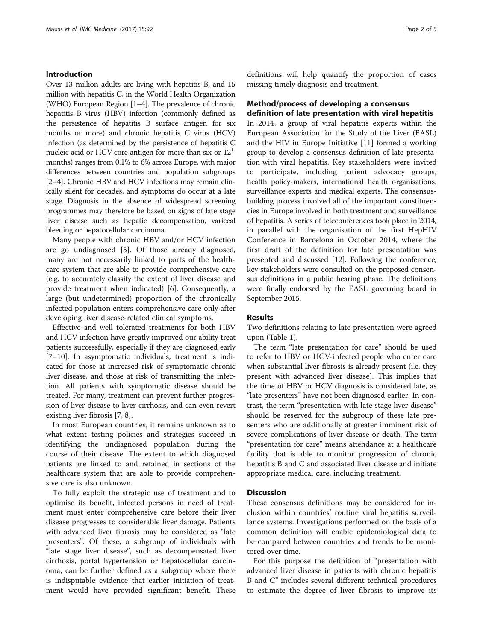#### Introduction

Over 13 million adults are living with hepatitis B, and 15 million with hepatitis C, in the World Health Organization (WHO) European Region [\[1](#page-3-0)–[4](#page-4-0)]. The prevalence of chronic hepatitis B virus (HBV) infection (commonly defined as the persistence of hepatitis B surface antigen for six months or more) and chronic hepatitis C virus (HCV) infection (as determined by the persistence of hepatitis C nucleic acid or HCV core antigen for more than six or  $12<sup>1</sup>$ months) ranges from 0.1% to 6% across Europe, with major differences between countries and population subgroups [[2](#page-4-0)–[4](#page-4-0)]. Chronic HBV and HCV infections may remain clinically silent for decades, and symptoms do occur at a late stage. Diagnosis in the absence of widespread screening programmes may therefore be based on signs of late stage liver disease such as hepatic decompensation, variceal bleeding or hepatocellular carcinoma.

Many people with chronic HBV and/or HCV infection are go undiagnosed [[5\]](#page-4-0). Of those already diagnosed, many are not necessarily linked to parts of the healthcare system that are able to provide comprehensive care (e.g. to accurately classify the extent of liver disease and provide treatment when indicated) [[6\]](#page-4-0). Consequently, a large (but undetermined) proportion of the chronically infected population enters comprehensive care only after developing liver disease-related clinical symptoms.

Effective and well tolerated treatments for both HBV and HCV infection have greatly improved our ability treat patients successfully, especially if they are diagnosed early [[7](#page-4-0)–[10](#page-4-0)]. In asymptomatic individuals, treatment is indicated for those at increased risk of symptomatic chronic liver disease, and those at risk of transmitting the infection. All patients with symptomatic disease should be treated. For many, treatment can prevent further progression of liver disease to liver cirrhosis, and can even revert existing liver fibrosis [\[7](#page-4-0), [8\]](#page-4-0).

In most European countries, it remains unknown as to what extent testing policies and strategies succeed in identifying the undiagnosed population during the course of their disease. The extent to which diagnosed patients are linked to and retained in sections of the healthcare system that are able to provide comprehensive care is also unknown.

To fully exploit the strategic use of treatment and to optimise its benefit, infected persons in need of treatment must enter comprehensive care before their liver disease progresses to considerable liver damage. Patients with advanced liver fibrosis may be considered as "late presenters". Of these, a subgroup of individuals with "late stage liver disease", such as decompensated liver cirrhosis, portal hypertension or hepatocellular carcinoma, can be further defined as a subgroup where there is indisputable evidence that earlier initiation of treatment would have provided significant benefit. These definitions will help quantify the proportion of cases missing timely diagnosis and treatment.

#### Method/process of developing a consensus definition of late presentation with viral hepatitis

In 2014, a group of viral hepatitis experts within the European Association for the Study of the Liver (EASL) and the HIV in Europe Initiative [[11\]](#page-4-0) formed a working group to develop a consensus definition of late presentation with viral hepatitis. Key stakeholders were invited to participate, including patient advocacy groups, health policy-makers, international health organisations, surveillance experts and medical experts. The consensusbuilding process involved all of the important constituencies in Europe involved in both treatment and surveillance of hepatitis. A series of teleconferences took place in 2014, in parallel with the organisation of the first HepHIV Conference in Barcelona in October 2014, where the first draft of the definition for late presentation was presented and discussed [[12](#page-4-0)]. Following the conference, key stakeholders were consulted on the proposed consensus definitions in a public hearing phase. The definitions were finally endorsed by the EASL governing board in September 2015.

#### Results

Two definitions relating to late presentation were agreed upon (Table [1\)](#page-2-0).

The term "late presentation for care" should be used to refer to HBV or HCV-infected people who enter care when substantial liver fibrosis is already present (i.e. they present with advanced liver disease). This implies that the time of HBV or HCV diagnosis is considered late, as "late presenters" have not been diagnosed earlier. In contrast, the term "presentation with late stage liver disease" should be reserved for the subgroup of these late presenters who are additionally at greater imminent risk of severe complications of liver disease or death. The term "presentation for care" means attendance at a healthcare facility that is able to monitor progression of chronic hepatitis B and C and associated liver disease and initiate appropriate medical care, including treatment.

#### **Discussion**

These consensus definitions may be considered for inclusion within countries' routine viral hepatitis surveillance systems. Investigations performed on the basis of a common definition will enable epidemiological data to be compared between countries and trends to be monitored over time.

For this purpose the definition of "presentation with advanced liver disease in patients with chronic hepatitis B and C" includes several different technical procedures to estimate the degree of liver fibrosis to improve its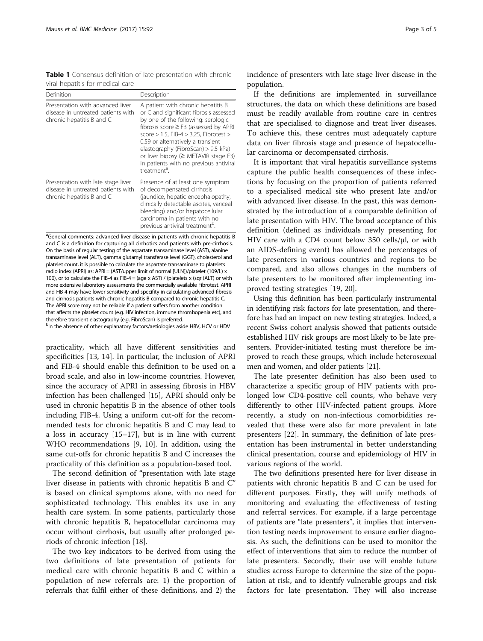<span id="page-2-0"></span>Table 1 Consensus definition of late presentation with chronic viral hepatitis for medical care

| Definition                                                                                            | Description                                                                                                                                                                                                                                                                                                                                                                                                        |
|-------------------------------------------------------------------------------------------------------|--------------------------------------------------------------------------------------------------------------------------------------------------------------------------------------------------------------------------------------------------------------------------------------------------------------------------------------------------------------------------------------------------------------------|
| Presentation with advanced liver<br>disease in untreated patients with<br>chronic hepatitis B and C   | A patient with chronic hepatitis B<br>or C and significant fibrosis assessed<br>by one of the following: serologic<br>fibrosis score $\geq$ F3 (assessed by APRI<br>score $> 1.5$ , FIB-4 $> 3.25$ , Fibrotest $>$<br>0.59 or alternatively a transient<br>elastography (FibroScan) > 9.5 kPa)<br>or liver biopsy ( $\geq$ METAVIR stage F3)<br>in patients with no previous antiviral<br>treatment <sup>a</sup> . |
| Presentation with late stage liver<br>disease in untreated patients with<br>chronic hepatitis B and C | Presence of at least one symptom<br>of decompensated cirrhosis<br>(jaundice, hepatic encephalopathy,<br>clinically detectable ascites, variceal<br>bleeding) and/or hepatocellular<br>carcinoma in patients with no<br>previous antiviral treatment <sup>b</sup> .                                                                                                                                                 |

<sup>a</sup>General comments: advanced liver disease in patients with chronic hepatitis B and C is a definition for capturing all cirrhotics and patients with pre-cirrhosis. On the basis of regular testing of the aspartate transaminase level (AST), alanine transaminase level (ALT), gamma glutamyl transferase level (GGT), cholesterol and platelet count, it is possible to calculate the aspartate transaminase to platelets radio index (APRI) as: APRI = (AST/upper limit of normal [ULN])/platelet (109/L) x 100), or to calculate the FIB-4 as FIB-4 = (age x AST) / (platelets x (sgr (ALT) or with more extensive laboratory assessments the commercially available Fibrotest. APRI and FIB-4 may have lower sensitivity and specifity in calculating advanced fibrosis and cirrhosis patients with chronic hepatitis B compared to chronic hepatitis C. The APRI score may not be reliable if a patient suffers from another condition that affects the platelet count (e.g. HIV infection, immune thrombopenia etc), and therefore transient elastography (e.g. FibroScan) is preferred. <sup>b</sup>In the absence of other explanatory factors/aetiologies aside HBV, HCV or HDV

practicality, which all have different sensitivities and specificities [\[13, 14](#page-4-0)]. In particular, the inclusion of APRI and FIB-4 should enable this definition to be used on a broad scale, and also in low-income countries. However, since the accuracy of APRI in assessing fibrosis in HBV infection has been challenged [[15\]](#page-4-0), APRI should only be used in chronic hepatitis B in the absence of other tools including FIB-4. Using a uniform cut-off for the recommended tests for chronic hepatitis B and C may lead to a loss in accuracy [\[15](#page-4-0)–[17\]](#page-4-0), but is in line with current WHO recommendations [\[9](#page-4-0), [10\]](#page-4-0). In addition, using the same cut-offs for chronic hepatitis B and C increases the practicality of this definition as a population-based tool.

The second definition of "presentation with late stage liver disease in patients with chronic hepatitis B and C" is based on clinical symptoms alone, with no need for sophisticated technology. This enables its use in any health care system. In some patients, particularly those with chronic hepatitis B, hepatocellular carcinoma may occur without cirrhosis, but usually after prolonged periods of chronic infection [[18\]](#page-4-0).

The two key indicators to be derived from using the two definitions of late presentation of patients for medical care with chronic hepatitis B and C within a population of new referrals are: 1) the proportion of referrals that fulfil either of these definitions, and 2) the

incidence of presenters with late stage liver disease in the population.

If the definitions are implemented in surveillance structures, the data on which these definitions are based must be readily available from routine care in centres that are specialised to diagnose and treat liver diseases. To achieve this, these centres must adequately capture data on liver fibrosis stage and presence of hepatocellular carcinoma or decompensated cirrhosis.

It is important that viral hepatitis surveillance systems capture the public health consequences of these infections by focusing on the proportion of patients referred to a specialised medical site who present late and/or with advanced liver disease. In the past, this was demonstrated by the introduction of a comparable definition of late presentation with HIV. The broad acceptance of this definition (defined as individuals newly presenting for HIV care with a CD4 count below 350 cells/μl, or with an AIDS-defining event) has allowed the percentages of late presenters in various countries and regions to be compared, and also allows changes in the numbers of late presenters to be monitored after implementing improved testing strategies [\[19, 20\]](#page-4-0).

Using this definition has been particularly instrumental in identifying risk factors for late presentation, and therefore has had an impact on new testing strategies. Indeed, a recent Swiss cohort analysis showed that patients outside established HIV risk groups are most likely to be late presenters. Provider-initiated testing must therefore be improved to reach these groups, which include heterosexual men and women, and older patients [[21](#page-4-0)].

The late presenter definition has also been used to characterize a specific group of HIV patients with prolonged low CD4-positive cell counts, who behave very differently to other HIV-infected patient groups. More recently, a study on non-infectious comorbidities revealed that these were also far more prevalent in late presenters [\[22](#page-4-0)]. In summary, the definition of late presentation has been instrumental in better understanding clinical presentation, course and epidemiology of HIV in various regions of the world.

The two definitions presented here for liver disease in patients with chronic hepatitis B and C can be used for different purposes. Firstly, they will unify methods of monitoring and evaluating the effectiveness of testing and referral services. For example, if a large percentage of patients are "late presenters", it implies that intervention testing needs improvement to ensure earlier diagnosis. As such, the definitions can be used to monitor the effect of interventions that aim to reduce the number of late presenters. Secondly, their use will enable future studies across Europe to determine the size of the population at risk, and to identify vulnerable groups and risk factors for late presentation. They will also increase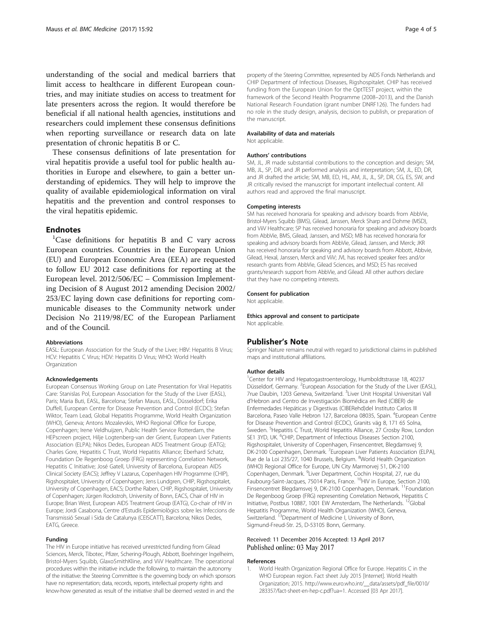<span id="page-3-0"></span>understanding of the social and medical barriers that limit access to healthcare in different European countries, and may initiate studies on access to treatment for late presenters across the region. It would therefore be beneficial if all national health agencies, institutions and researchers could implement these consensus definitions when reporting surveillance or research data on late presentation of chronic hepatitis B or C.

These consensus definitions of late presentation for viral hepatitis provide a useful tool for public health authorities in Europe and elsewhere, to gain a better understanding of epidemics. They will help to improve the quality of available epidemiological information on viral hepatitis and the prevention and control responses to the viral hepatitis epidemic.

#### **Endnotes**

<sup>1</sup>Case definitions for hepatitis B and C vary across European countries. Countries in the European Union (EU) and European Economic Area (EEA) are requested to follow EU 2012 case definitions for reporting at the European level. 2012/506/EC – Commission Implementing Decision of 8 August 2012 amending Decision 2002/ 253/EC laying down case definitions for reporting communicable diseases to the Community network under Decision No 2119/98/EC of the European Parliament and of the Council.

#### Abbreviations

EASL: European Association for the Study of the Liver; HBV: Hepatitis B Virus; HCV: Hepatitis C Virus; HDV: Hepatitis D Virus; WHO: World Health **Organization** 

#### Acknowledgements

European Consensus Working Group on Late Presentation for Viral Hepatitis Care: Stanislas Pol, European Association for the Study of the Liver (EASL), Paris; Maria Buti, EASL, Barcelona; Stefan Mauss, EASL, Düsseldorf; Erika Duffell, European Centre for Disease Prevention and Control (ECDC); Stefan Wiktor, Team Lead, Global Hepatitis Programme, World Health Organization (WHO), Geneva; Antons Mozalevskis, WHO Regional Office for Europe, Copenhagen; Irene Veldhuijzen, Public Health Service Rotterdam, the HEPscreen project, Hilje Logtenberg-van der Grient, European Liver Patients Association (ELPA); Nikos Dedes, European AIDS Treatment Group (EATG); Charles Gore, Hepatitis C Trust, World Hepatitis Alliance; Eberhard Schatz, Foundation De Regenboog Groep (FRG) representing Correlation Network, Hepatitis C Initiative; José Gatell, University of Barcelona, European AIDS Clinical Society (EACS); Jeffrey V Lazarus, Copenhagen HIV Programme (CHIP), Rigshospitalet, University of Copenhagen; Jens Lundgren, CHIP, Rigshospitalet, University of Copenhagen, EACS; Dorthe Raben, CHIP, Rigshospitalet, University of Copenhagen; Jürgen Rockstroh, University of Bonn, EACS, Chair of HIV in Europe; Brian West, European AIDS Treatment Group (EATG), Co-chair of HIV in Europe; Jordi Casabona, Centre d'Estudis Epidemiològics sobre les Infeccions de Transmissió Sexual i Sida de Catalunya (CEISCATT), Barcelona; Nikos Dedes, EATG, Greece.

#### Funding

The HIV in Europe initiative has received unrestricted funding from Gilead Sciences, Merck, Tibotec, Pfizer, Schering-Plough, Abbott, Boehringer Ingelheim, Bristol-Myers Squibb, GlaxoSmithKline, and ViiV Healthcare. The operational procedures within the initiative include the following, to maintain the autonomy of the initiative: the Steering Committee is the governing body on which sponsors have no representation; data, records, reports, intellectual property rights and know-how generated as result of the initiative shall be deemed vested in and the

property of the Steering Committee, represented by AIDS Fonds Netherlands and CHIP Department of Infectious Diseases, Rigshospitalet. CHIP has received funding from the European Union for the OptTEST project, within the framework of the Second Health Programme (2008–2013), and the Danish National Research Foundation (grant number DNRF126). The funders had no role in the study design, analysis, decision to publish, or preparation of the manuscript.

#### Availability of data and materials

Not applicable.

#### Authors' contributions

SM, JL, JR made substantial contributions to the conception and design; SM, MB, JL, SP, DR, and JR performed analysis and interpretation; SM, JL, ED, DR, and JR drafted the article; SM, MB, ED, HL, AM, JL, JL, SP, DR, CG, ES, SW, and JR critically revised the manuscript for important intellectual content. All authors read and approved the final manuscript.

#### Competing interests

SM has received honoraria for speaking and advisory boards from AbbVie, Bristol-Myers Squibb (BMS), Gilead, Janssen, Merck Sharp and Dohme (MSD), and ViiV Healthcare; SP has received honoraria for speaking and advisory boards from AbbVie, BMS, Gilead, Janssen, and MSD; MB has received honoraria for speaking and advisory boards from AbbVie, Gilead, Janssen, and Merck; JKR has received honoraria for speaking and advisory boards from Abbott, Abbvie, Gilead, Hexal, Janssen, Merck and ViiV; JVL has received speaker fees and/or research grants from AbbVie, Gilead Sciences, and MSD; ES has received grants/research support from AbbVie, and Gilead. All other authors declare that they have no competing interests.

#### Consent for publication

Not applicable.

Ethics approval and consent to participate Not applicable.

#### Publisher's Note

Springer Nature remains neutral with regard to jurisdictional claims in published maps and institutional affiliations.

#### Author details

<sup>1</sup> Center for HIV and Hepatogastroenterology, Humboldtstrasse 18, 40237 Düsseldorf, Germany. <sup>2</sup> European Association for the Study of the Liver (EASL) 7rue Daubin, 1203 Geneva, Switzerland. <sup>3</sup>Liver Unit Hospital Universitari Vall d'Hebron and Centro de Investigación Biomédica en Red (CIBER) de Enfermedades Hepáticas y Digestivas (CIBERehd)del Instituto Carlos III Barcelona, Paseo Valle Hebron 127, Barcelona 08035, Spain. <sup>4</sup>European Centre for Disease Prevention and Control (ECDC), Granits väg 8, 171 65 Solna, Sweden. <sup>5</sup>Hepatitis C Trust, World Hepatitis Alliance, 27 Crosby Row, London SE1 3YD, UK. <sup>6</sup>CHIP, Department of Infectious Diseases Section 2100 Rigshospitalet, University of Copenhagen, Finsencentret, Blegdamsvej 9, DK-2100 Copenhagen, Denmark. <sup>7</sup> European Liver Patients Association (ELPA) Rue de la Loi 235/27, 1040 Brussels, Belgium. <sup>8</sup>World Health Organization (WHO) Regional Office for Europe, UN City Marmorvej 51, DK-2100 Copenhagen, Denmark. <sup>9</sup> Liver Department, Cochin Hospital, 27, rue du Faubourg-Saint-Jacques, 75014 Paris, France. <sup>10</sup>HIV in Europe, Section 2100, Finsencentret Blegdamsvej 9, DK-2100 Copenhagen, Denmark. 11Foundation De Regenboog Groep (FRG) representing Correlation Network, Hepatitis C Initiative, Postbus 10887, 1001 EW Amsterdam, The Netherlands. 12Global Hepatitis Programme, World Health Organization (WHO), Geneva, Switzerland. <sup>13</sup>Department of Medicine I, University of Bonn, Sigmund-Freud-Str. 25, D-53105 Bonn, Germany.

#### Received: 11 December 2016 Accepted: 13 April 2017 Published online: 03 May 2017

#### References

1. World Health Organization Regional Office for Europe. Hepatitis C in the WHO European region. Fact sheet July 2015 [Internet]. World Health Organization; 2015. [http://www.euro.who.int/\\_\\_data/assets/pdf\\_file/0010/](http://www.euro.who.int/__data/assets/pdf_file/0010/283357/fact-sheet-en-hep-c.pdf?ua=1) [283357/fact-sheet-en-hep-c.pdf?ua=1.](http://www.euro.who.int/__data/assets/pdf_file/0010/283357/fact-sheet-en-hep-c.pdf?ua=1) Accessed [03 Apr 2017].